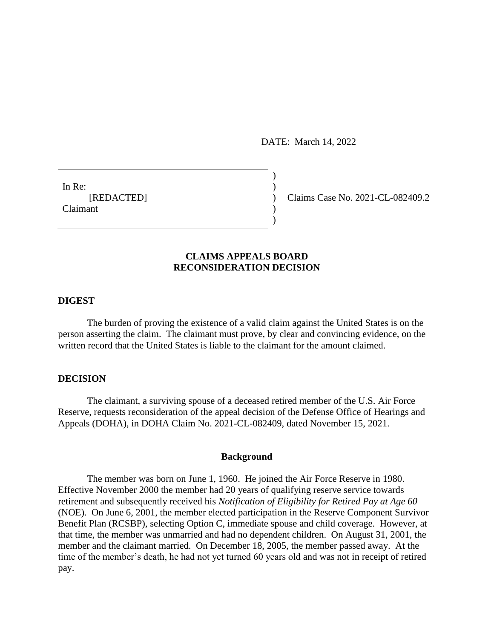DATE: March 14, 2022

)

 $\mathcal{L}$ 

In Re:  $\qquad \qquad$ ) **Claimant** 

[REDACTED] ) Claims Case No. 2021-CL-082409.2

## **CLAIMS APPEALS BOARD RECONSIDERATION DECISION**

## **DIGEST**

The burden of proving the existence of a valid claim against the United States is on the person asserting the claim. The claimant must prove, by clear and convincing evidence, on the written record that the United States is liable to the claimant for the amount claimed.

# **DECISION**

The claimant, a surviving spouse of a deceased retired member of the U.S. Air Force Reserve, requests reconsideration of the appeal decision of the Defense Office of Hearings and Appeals (DOHA), in DOHA Claim No. 2021-CL-082409, dated November 15, 2021.

#### **Background**

The member was born on June 1, 1960. He joined the Air Force Reserve in 1980. Effective November 2000 the member had 20 years of qualifying reserve service towards retirement and subsequently received his *Notification of Eligibility for Retired Pay at Age 60*  (NOE). On June 6, 2001, the member elected participation in the Reserve Component Survivor Benefit Plan (RCSBP), selecting Option C, immediate spouse and child coverage. However, at that time, the member was unmarried and had no dependent children. On August 31, 2001, the member and the claimant married. On December 18, 2005, the member passed away. At the time of the member's death, he had not yet turned 60 years old and was not in receipt of retired pay.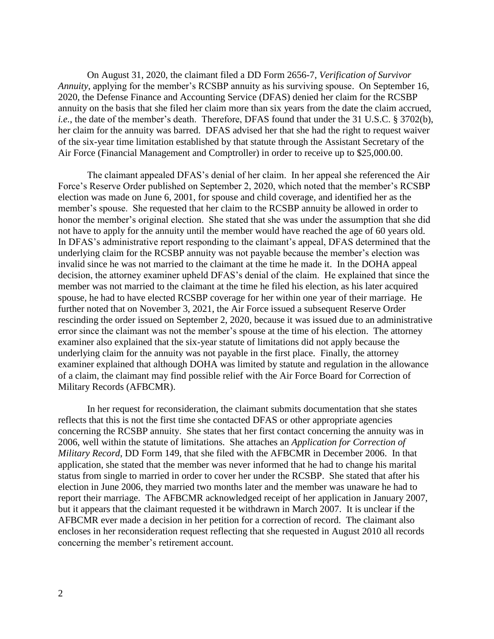On August 31, 2020, the claimant filed a DD Form 2656-7, *Verification of Survivor Annuity*, applying for the member's RCSBP annuity as his surviving spouse. On September 16, 2020, the Defense Finance and Accounting Service (DFAS) denied her claim for the RCSBP annuity on the basis that she filed her claim more than six years from the date the claim accrued, *i.e.*, the date of the member's death. Therefore, DFAS found that under the 31 U.S.C. § 3702(b), her claim for the annuity was barred. DFAS advised her that she had the right to request waiver of the six-year time limitation established by that statute through the Assistant Secretary of the Air Force (Financial Management and Comptroller) in order to receive up to \$25,000.00.

The claimant appealed DFAS's denial of her claim. In her appeal she referenced the Air Force's Reserve Order published on September 2, 2020, which noted that the member's RCSBP election was made on June 6, 2001, for spouse and child coverage, and identified her as the member's spouse. She requested that her claim to the RCSBP annuity be allowed in order to honor the member's original election. She stated that she was under the assumption that she did not have to apply for the annuity until the member would have reached the age of 60 years old. In DFAS's administrative report responding to the claimant's appeal, DFAS determined that the underlying claim for the RCSBP annuity was not payable because the member's election was invalid since he was not married to the claimant at the time he made it. In the DOHA appeal decision, the attorney examiner upheld DFAS's denial of the claim. He explained that since the member was not married to the claimant at the time he filed his election, as his later acquired spouse, he had to have elected RCSBP coverage for her within one year of their marriage. He further noted that on November 3, 2021, the Air Force issued a subsequent Reserve Order rescinding the order issued on September 2, 2020, because it was issued due to an administrative error since the claimant was not the member's spouse at the time of his election. The attorney examiner also explained that the six-year statute of limitations did not apply because the underlying claim for the annuity was not payable in the first place. Finally, the attorney examiner explained that although DOHA was limited by statute and regulation in the allowance of a claim, the claimant may find possible relief with the Air Force Board for Correction of Military Records (AFBCMR).

In her request for reconsideration, the claimant submits documentation that she states reflects that this is not the first time she contacted DFAS or other appropriate agencies concerning the RCSBP annuity. She states that her first contact concerning the annuity was in 2006, well within the statute of limitations. She attaches an *Application for Correction of Military Record*, DD Form 149, that she filed with the AFBCMR in December 2006. In that application, she stated that the member was never informed that he had to change his marital status from single to married in order to cover her under the RCSBP. She stated that after his election in June 2006, they married two months later and the member was unaware he had to report their marriage. The AFBCMR acknowledged receipt of her application in January 2007, but it appears that the claimant requested it be withdrawn in March 2007. It is unclear if the AFBCMR ever made a decision in her petition for a correction of record. The claimant also encloses in her reconsideration request reflecting that she requested in August 2010 all records concerning the member's retirement account.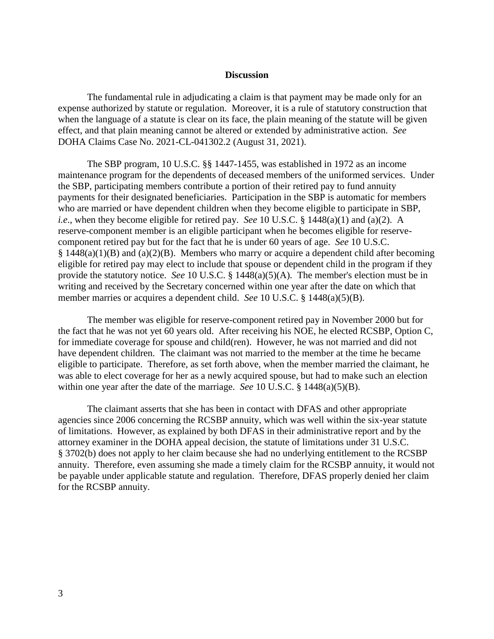#### **Discussion**

The fundamental rule in adjudicating a claim is that payment may be made only for an expense authorized by statute or regulation. Moreover, it is a rule of statutory construction that when the language of a statute is clear on its face, the plain meaning of the statute will be given effect, and that plain meaning cannot be altered or extended by administrative action. *See*  DOHA Claims Case No. 2021-CL-041302.2 (August 31, 2021).

The SBP program, 10 U.S.C. §§ 1447-1455, was established in 1972 as an income maintenance program for the dependents of deceased members of the uniformed services. Under the SBP, participating members contribute a portion of their retired pay to fund annuity payments for their designated beneficiaries. Participation in the SBP is automatic for members who are married or have dependent children when they become eligible to participate in SBP, *i.e*., when they become eligible for retired pay. *See* 10 U.S.C. § 1448(a)(1) and (a)(2). A reserve-component member is an eligible participant when he becomes eligible for reservecomponent retired pay but for the fact that he is under 60 years of age. *See* 10 U.S.C.  $§$  1448(a)(1)(B) and (a)(2)(B). Members who marry or acquire a dependent child after becoming eligible for retired pay may elect to include that spouse or dependent child in the program if they provide the statutory notice. *See* 10 U.S.C. § 1448(a)(5)(A). The member's election must be in writing and received by the Secretary concerned within one year after the date on which that member marries or acquires a dependent child. *See* 10 U.S.C. § 1448(a)(5)(B).

The member was eligible for reserve-component retired pay in November 2000 but for the fact that he was not yet 60 years old. After receiving his NOE, he elected RCSBP, Option C, for immediate coverage for spouse and child(ren). However, he was not married and did not have dependent children. The claimant was not married to the member at the time he became eligible to participate. Therefore, as set forth above, when the member married the claimant, he was able to elect coverage for her as a newly acquired spouse, but had to make such an election within one year after the date of the marriage. *See* 10 U.S.C. § 1448(a)(5)(B).

The claimant asserts that she has been in contact with DFAS and other appropriate agencies since 2006 concerning the RCSBP annuity, which was well within the six-year statute of limitations. However, as explained by both DFAS in their administrative report and by the attorney examiner in the DOHA appeal decision, the statute of limitations under 31 U.S.C. § 3702(b) does not apply to her claim because she had no underlying entitlement to the RCSBP annuity. Therefore, even assuming she made a timely claim for the RCSBP annuity, it would not be payable under applicable statute and regulation. Therefore, DFAS properly denied her claim for the RCSBP annuity.